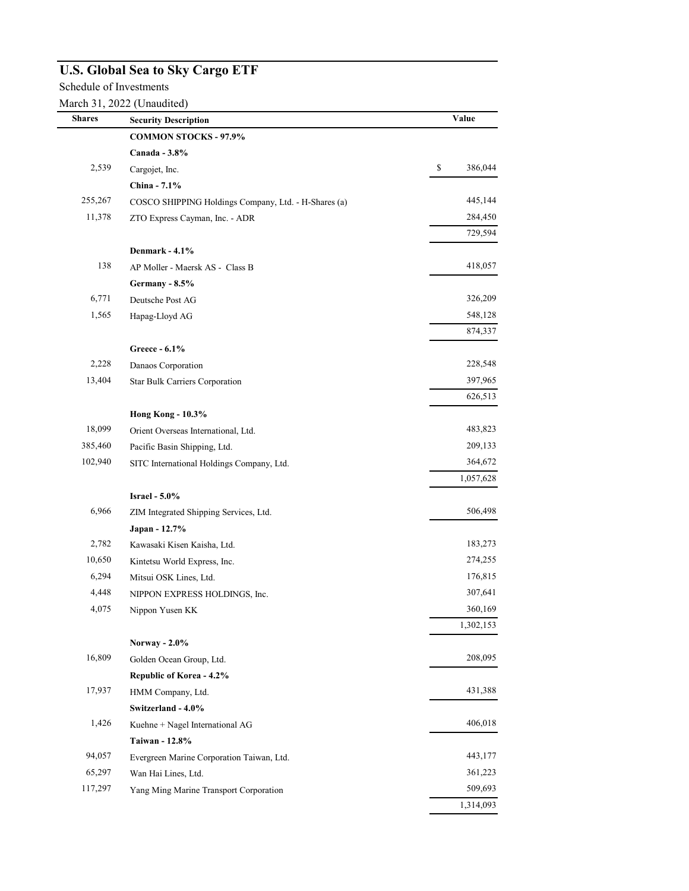## **U.S. Global Sea to Sky Cargo ETF**

Schedule of Investments

March 31, 2022 (Unaudited)

| <b>Shares</b> | <b>Security Description</b>                          | Value                                                  |
|---------------|------------------------------------------------------|--------------------------------------------------------|
|               | <b>COMMON STOCKS - 97.9%</b>                         |                                                        |
|               | Canada - 3.8%                                        |                                                        |
| 2,539         | Cargojet, Inc.                                       | $\mathbb{S}% _{n}^{X\rightarrow\mathbb{R}}$<br>386,044 |
|               | China - 7.1%                                         |                                                        |
| 255,267       | COSCO SHIPPING Holdings Company, Ltd. - H-Shares (a) | 445,144                                                |
| 11,378        | ZTO Express Cayman, Inc. - ADR                       | 284,450                                                |
|               |                                                      | 729,594                                                |
|               | Denmark - 4.1%                                       |                                                        |
| 138           | AP Moller - Maersk AS - Class B                      | 418,057                                                |
|               | Germany - 8.5%                                       |                                                        |
| 6,771         | Deutsche Post AG                                     | 326,209                                                |
| 1,565         | Hapag-Lloyd AG                                       | 548,128                                                |
|               |                                                      | 874,337                                                |
|               | Greece - 6.1%                                        |                                                        |
| 2,228         | Danaos Corporation                                   | 228,548                                                |
| 13,404        | Star Bulk Carriers Corporation                       | 397,965                                                |
|               |                                                      | 626,513                                                |
|               | <b>Hong Kong - 10.3%</b>                             |                                                        |
| 18,099        | Orient Overseas International, Ltd.                  | 483,823                                                |
| 385,460       | Pacific Basin Shipping, Ltd.                         | 209,133                                                |
| 102,940       | SITC International Holdings Company, Ltd.            | 364,672                                                |
|               |                                                      | 1,057,628                                              |
|               | <b>Israel - 5.0%</b>                                 |                                                        |
| 6,966         | ZIM Integrated Shipping Services, Ltd.               | 506,498                                                |
|               | Japan - 12.7%                                        |                                                        |
| 2,782         | Kawasaki Kisen Kaisha, Ltd.                          | 183,273                                                |
| 10,650        | Kintetsu World Express, Inc.                         | 274,255                                                |
| 6,294         | Mitsui OSK Lines, Ltd.                               | 176,815                                                |
| 4,448         | NIPPON EXPRESS HOLDINGS, Inc.                        | 307,641                                                |
| 4,075         | Nippon Yusen KK                                      | 360,169                                                |
|               |                                                      | 1,302,153                                              |
|               | Norway - 2.0%                                        |                                                        |
| 16,809        | Golden Ocean Group, Ltd.                             | 208,095                                                |
|               | Republic of Korea - 4.2%                             |                                                        |
| 17,937        | HMM Company, Ltd.                                    | 431,388                                                |
|               | Switzerland - 4.0%                                   |                                                        |
| 1,426         | Kuehne + Nagel International AG                      | 406,018                                                |
|               | Taiwan - 12.8%                                       |                                                        |
| 94,057        | Evergreen Marine Corporation Taiwan, Ltd.            | 443,177                                                |
| 65,297        | Wan Hai Lines, Ltd.                                  | 361,223                                                |
| 117,297       | Yang Ming Marine Transport Corporation               | 509,693                                                |
|               |                                                      | 1,314,093                                              |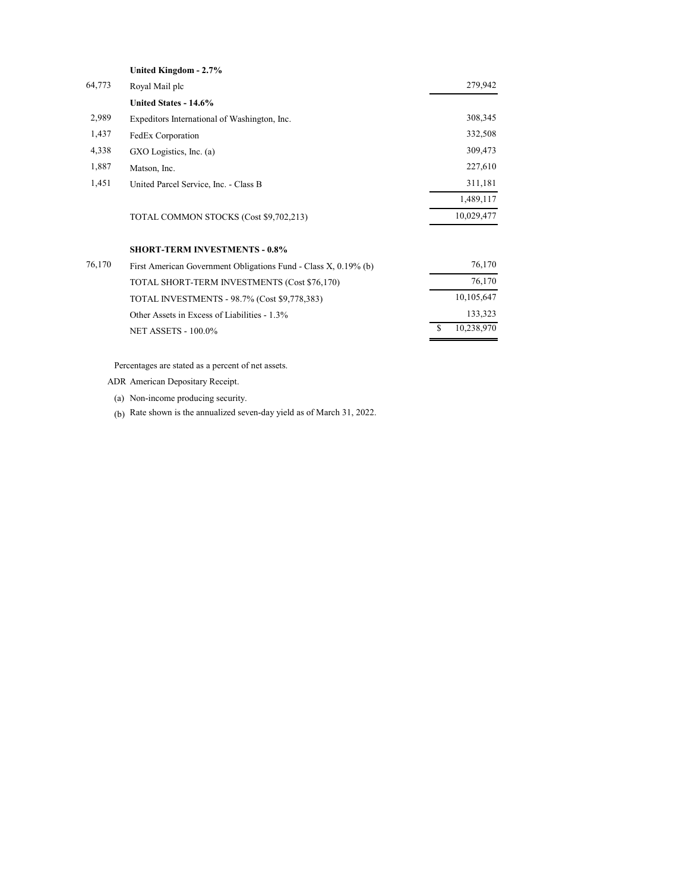|        | United Kingdom - 2.7%                        |            |
|--------|----------------------------------------------|------------|
| 64,773 | Royal Mail plc                               | 279,942    |
|        | United States - 14.6%                        |            |
| 2,989  | Expeditors International of Washington, Inc. | 308,345    |
| 1,437  | FedEx Corporation                            | 332,508    |
| 4,338  | GXO Logistics, Inc. (a)                      | 309,473    |
| 1,887  | Matson, Inc.                                 | 227,610    |
| 1,451  | United Parcel Service, Inc. - Class B        | 311,181    |
|        |                                              | 1,489,117  |
|        | TOTAL COMMON STOCKS (Cost \$9,702,213)       | 10,029,477 |
|        |                                              |            |

## **SHORT-TERM INVESTMENTS - 0.8%**

| 76,170 | First American Government Obligations Fund - Class X, 0.19% (b) | 76,170     |  |
|--------|-----------------------------------------------------------------|------------|--|
|        | TOTAL SHORT-TERM INVESTMENTS (Cost \$76,170)                    | 76,170     |  |
|        | TOTAL INVESTMENTS - 98.7% (Cost \$9,778,383)                    | 10,105,647 |  |
|        | Other Assets in Excess of Liabilities - 1.3%                    | 133,323    |  |
|        | <b>NET ASSETS - 100.0%</b>                                      | 10.238.970 |  |

Percentages are stated as a percent of net assets.

ADR American Depositary Receipt.

(a) Non-income producing security.

(b) Rate shown is the annualized seven-day yield as of March 31, 2022.